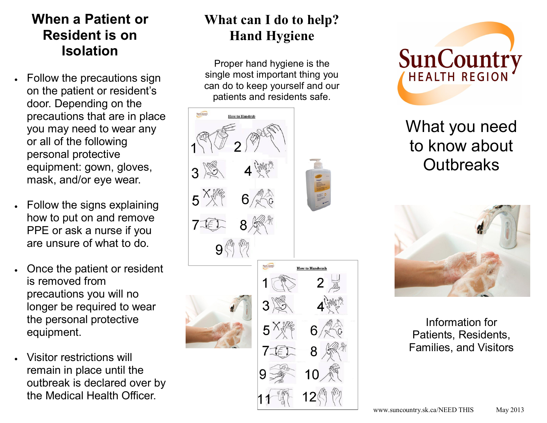## **When a Patient or Resident is on Isolation**

- Follow the precautions sign on the patient or resident's door. Depending on the precautions that are in place you may need to wear any or all of the following personal protective equipment: gown, gloves, mask, and/or eye wear.
- Follow the signs explaining how to put on and remove PPE or ask a nurse if you are unsure of what to do.
- Once the patient or resident is removed from precautions you will no longer be required to wear the personal protective equipment.
- Visitor restrictions will remain in place until the outbreak is declared over by the Medical Health Officer.

# **What can I do to help? Hand Hygiene**

Proper hand hygiene is the single most important thing you can do to keep yourself and our patients and residents safe.





What you need to know about **Outbreaks** 



Information for Patients, Residents, Families, and Visitors